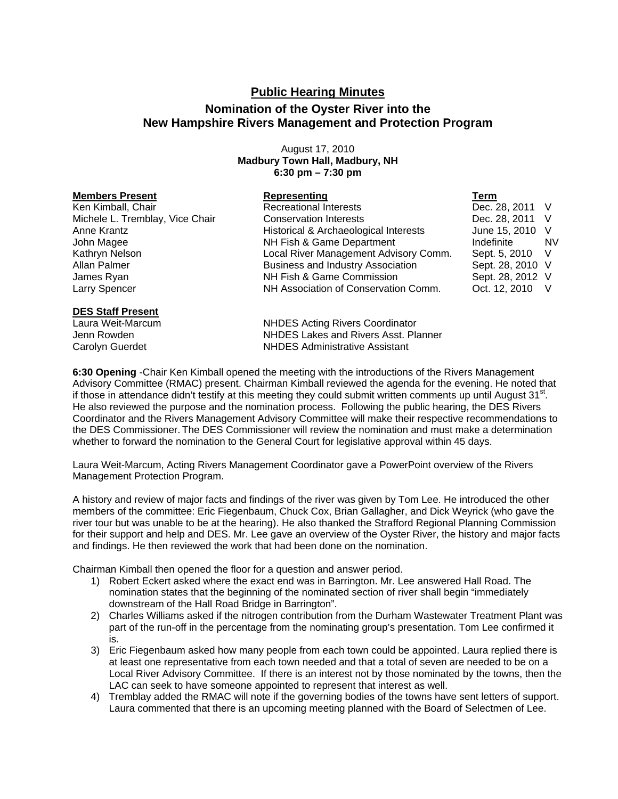## **Public Hearing Minutes**

## **Nomination of the Oyster River into the New Hampshire Rivers Management and Protection Program**

August 17, 2010 **Madbury Town Hall, Madbury, NH 6:30 pm – 7:30 pm** 

| <b>Members Present</b>          | Representing                             | Term             |           |
|---------------------------------|------------------------------------------|------------------|-----------|
| Ken Kimball, Chair              | <b>Recreational Interests</b>            | Dec. 28, 2011 V  |           |
| Michele L. Tremblay, Vice Chair | <b>Conservation Interests</b>            | Dec. 28, 2011 V  |           |
| Anne Krantz                     | Historical & Archaeological Interests    | June 15, 2010 V  |           |
| John Magee                      | NH Fish & Game Department                | Indefinite       | <b>NV</b> |
| Kathryn Nelson                  | Local River Management Advisory Comm.    | Sept. 5, 2010 V  |           |
| Allan Palmer                    | <b>Business and Industry Association</b> | Sept. 28, 2010 V |           |
| James Ryan                      | NH Fish & Game Commission                | Sept. 28, 2012 V |           |
| Larry Spencer                   | NH Association of Conservation Comm.     | Oct. 12, 2010 V  |           |
| <b>DES Staff Present</b>        |                                          |                  |           |

Laura Weit-Marcum NHDES Acting Rivers Coordinator Jenn Rowden NHDES Lakes and Rivers Asst. Planner Carolyn Guerdet NHDES Administrative Assistant

**6:30 Opening** -Chair Ken Kimball opened the meeting with the introductions of the Rivers Management Advisory Committee (RMAC) present. Chairman Kimball reviewed the agenda for the evening. He noted that if those in attendance didn't testify at this meeting they could submit written comments up until August  $31<sup>st</sup>$ . He also reviewed the purpose and the nomination process. Following the public hearing, the DES Rivers Coordinator and the Rivers Management Advisory Committee will make their respective recommendations to the DES Commissioner. The DES Commissioner will review the nomination and must make a determination whether to forward the nomination to the General Court for legislative approval within 45 days.

Laura Weit-Marcum, Acting Rivers Management Coordinator gave a PowerPoint overview of the Rivers Management Protection Program.

A history and review of major facts and findings of the river was given by Tom Lee. He introduced the other members of the committee: Eric Fiegenbaum, Chuck Cox, Brian Gallagher, and Dick Weyrick (who gave the river tour but was unable to be at the hearing). He also thanked the Strafford Regional Planning Commission for their support and help and DES. Mr. Lee gave an overview of the Oyster River, the history and major facts and findings. He then reviewed the work that had been done on the nomination.

Chairman Kimball then opened the floor for a question and answer period.

- 1) Robert Eckert asked where the exact end was in Barrington. Mr. Lee answered Hall Road. The nomination states that the beginning of the nominated section of river shall begin "immediately downstream of the Hall Road Bridge in Barrington".
- 2) Charles Williams asked if the nitrogen contribution from the Durham Wastewater Treatment Plant was part of the run-off in the percentage from the nominating group's presentation. Tom Lee confirmed it is.
- 3) Eric Fiegenbaum asked how many people from each town could be appointed. Laura replied there is at least one representative from each town needed and that a total of seven are needed to be on a Local River Advisory Committee. If there is an interest not by those nominated by the towns, then the LAC can seek to have someone appointed to represent that interest as well.
- 4) Tremblay added the RMAC will note if the governing bodies of the towns have sent letters of support. Laura commented that there is an upcoming meeting planned with the Board of Selectmen of Lee.